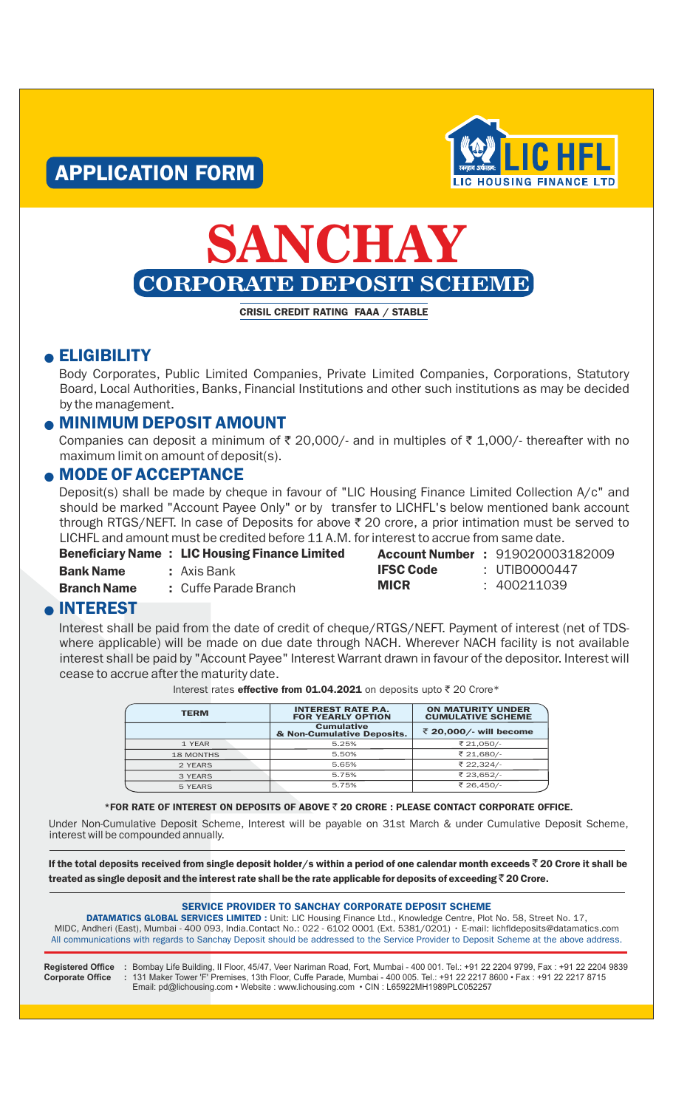



# **SANCHAY CORPORATE DEPOSIT SCHEME**

CRISIL CREDIT RATING FAAA / STABLE

#### **e ELIGIBILITY**

Body Corporates, Public Limited Companies, Private Limited Companies, Corporations, Statutory Board, Local Authorities, Banks, Financial Institutions and other such institutions as may be decided by the management.

#### **. MINIMUM DEPOSIT AMOUNT**

Companies can deposit a minimum of  $\bar{\tau}$  20,000/- and in multiples of  $\bar{\tau}$  1,000/- thereafter with no maximum limit on amount of deposit(s).

#### **. MODE OF ACCEPTANCE**

Deposit(s) shall be made by cheque in favour of "LIC Housing Finance Limited Collection A/c" and should be marked "Account Payee Only" or by transfer to LICHFL's below mentioned bank account through RTGS/NEFT. In case of Deposits for above  $\bar{\tau}$  20 crore, a prior intimation must be served to LICHFL and amount must be credited before 11 A.M. for interest to accrue from same date.

|       | <b>Beneficiary Name : LIC Housing Finance Limited</b> |
|-------|-------------------------------------------------------|
| - - - |                                                       |

**Bank Name : Axis Bank Branch Name : Cuffe Parade Branch**  IFSC Code : **MICR** 

Account Number : 919020003182009 UTIB0000447 400211039

#### <sup>l</sup> INTEREST

Interest shall be paid from the date of credit of cheque/RTGS/NEFT. Payment of interest (net of TDSwhere applicable) will be made on due date through NACH. Wherever NACH facility is not available interest shall be paid by "Account Payee" Interest Warrant drawn in favour of the depositor. Interest will cease to accrue after the maturity date.

Interest rates effective from 01.04.2021 on deposits upto  $\bar{\tau}$  20 Crore\*

| <b>TERM</b>      | <b>INTEREST RATE P.A.</b><br><b>FOR YEARLY OPTION</b> | <b>ON MATURITY UNDER</b><br><b>CUMULATIVE SCHEME</b> |  |
|------------------|-------------------------------------------------------|------------------------------------------------------|--|
|                  | <b>Cumulative</b><br>& Non-Cumulative Deposits.       | ₹ 20,000/- will become                               |  |
| 1 YEAR           | 5.25%                                                 | ₹ 21,050/-                                           |  |
| <b>18 MONTHS</b> | 5.50%                                                 | ₹ 21.680/-                                           |  |
| 2 YEARS          | 5.65%                                                 | ₹ 22,324/-                                           |  |
| 3 YEARS          | 5.75%                                                 | ₹ 23,652/-                                           |  |
| 5 YEARS          | 5.75%                                                 | ₹ 26,450/-                                           |  |

#### $*$  FOR RATE OF INTEREST ON DEPOSITS OF ABOVE  $\bar{z}$  20 CRORE : PLEASE CONTACT CORPORATE OFFICE.

Under Non-Cumulative Deposit Scheme, Interest will be payable on 31st March & under Cumulative Deposit Scheme, interest will be compounded annually.

If the total deposits received from single deposit holder/s within a period of one calendar month exceeds  $\bar{\bar{\tau}}$  20 Crore it shall be treated as single deposit and the interest rate shall be the rate applicable for deposits of exceeding  $\bar{\bar{\tau}}$  20 Crore.

#### SERVICE PROVIDER TO SANCHAY CORPORATE DEPOSIT SCHEME

DATAMATICS GLOBAL SERVICES LIMITED : Unit: LIC Housing Finance Ltd., Knowledge Centre, Plot No. 58, Street No. 17, All communications with regards to Sanchay Deposit should be addressed to the Service Provider to Deposit Scheme at the above address. MIDC, Andheri (East), Mumbai - 400 093, India.Contact No.: 022 - 6102 0001 (Ext. 5381/0201) • E-mail: lichfldeposits@datamatics.com

**Registered Office Corporate Office**

**: :** Bombay Life Building, II Floor, 45/47, Veer Nariman Road, Fort, Mumbai - 400 001. Tel.: +91 22 2204 9799, Fax : +91 22 2204 9839 131 Maker Tower 'F' Premises, 13th Floor, Cuffe Parade, Mumbai - 400 005. Tel.: +91 22 2217 8600 • Fax : +91 22 2217 8715 Email: pd@lichousing.com • Website : www.lichousing.com • CIN : L65922MH1989PLC052257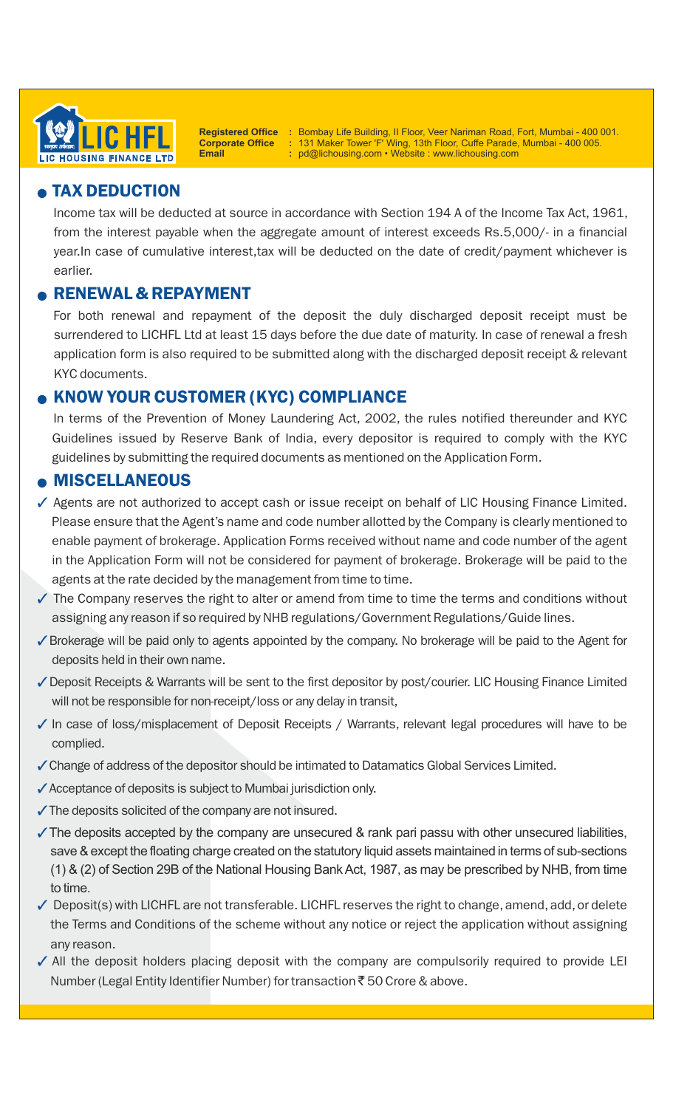

**Registered Office Corporate Office Email**

**: :**

**:** Bombay Life Building, II Floor, Veer Nariman Road, Fort, Mumbai - 400 001. 131 Maker Tower 'F' Wing, 13th Floor, Cuffe Parade, Mumbai - 400 005. pd@lichousing.com • Website : www.lichousing.com

## **• TAX DEDUCTION**

Income tax will be deducted at source in accordance with Section 194 A of the Income Tax Act, 1961, from the interest payable when the aggregate amount of interest exceeds Rs.5,000/- in a financial year.In case of cumulative interest,tax will be deducted on the date of credit/payment whichever is earlier.

### <sup>l</sup> RENEWAL & REPAYMENT

For both renewal and repayment of the deposit the duly discharged deposit receipt must be surrendered to LICHFL Ltd at least 15 days before the due date of maturity. In case of renewal a fresh application form is also required to be submitted along with the discharged deposit receipt & relevant KYC documents.

### <sup>l</sup> KNOW YOUR CUSTOMER (KYC) COMPLIANCE

In terms of the Prevention of Money Laundering Act, 2002, the rules notified thereunder and KYC Guidelines issued by Reserve Bank of India, every depositor is required to comply with the KYC guidelines by submitting the required documents as mentioned on the Application Form.

#### **• MISCELLANEOUS**

- √ Agents are not authorized to accept cash or issue receipt on behalf of LIC Housing Finance Limited. Please ensure that the Agent's name and code number allotted by the Company is clearly mentioned to enable payment of brokerage. Application Forms received without name and code number of the agent in the Application Form will not be considered for payment of brokerage. Brokerage will be paid to the agents at the rate decided by the management from time to time.
- $\checkmark$  The Company reserves the right to alter or amend from time to time the terms and conditions without assigning any reason if so required by NHB regulations/Government Regulations/Guide lines.
- ✔ Brokerage will be paid only to agents appointed by the company. No brokerage will be paid to the Agent for deposits held in their own name.
- Geposit Receipts & Warrants will be sent to the first depositor by post/courier. LIC Housing Finance Limited will not be responsible for non-receipt/loss or any delay in transit,
- √ In case of loss/misplacement of Deposit Receipts / Warrants, relevant legal procedures will have to be complied.
- ✔ Change of address of the depositor should be intimated to Datamatics Global Services Limited.
- ✔ Acceptance of deposits is subject to Mumbai jurisdiction only.
- $\checkmark$  The deposits solicited of the company are not insured.
- $\checkmark$  The deposits accepted by the company are unsecured & rank pari passu with other unsecured liabilities, save & except the floating charge created on the statutory liquid assets maintained in terms of sub-sections (1) & (2) of Section 29B of the National Housing Bank Act, 1987, as may be prescribed by NHB, from time to time.
- $\checkmark$  Deposit(s) with LICHFL are not transferable. LICHFL reserves the right to change, amend, add, or delete the Terms and Conditions of the scheme without any notice or reject the application without assigning any reason.
- $\checkmark$  All the deposit holders placing deposit with the company are compulsorily required to provide LEI Number (Legal Entity Identifier Number) for transaction ₹50 Crore & above.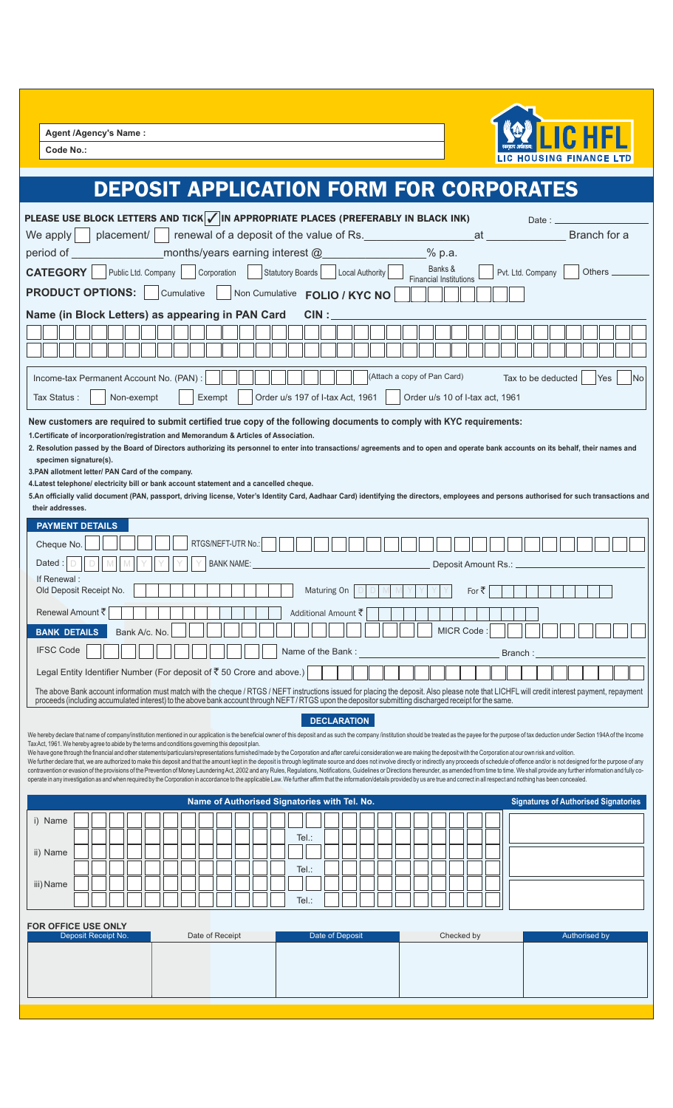**Agent /Agency's Name :**

**Code No.:**



## DEPOSIT APPLICATION FORM FOR CORPORATES

| PLEASE USE BLOCK LETTERS AND TICK $\sqrt{\left  N \right }$ appropriate places (preferably in Black INK)                                                                                                                                                                                                                                                                                                                                                         |                                   |                                                                                                                                                      |                                          | Date: $\overline{\phantom{a}}$                                                                                                                                                                |  |
|------------------------------------------------------------------------------------------------------------------------------------------------------------------------------------------------------------------------------------------------------------------------------------------------------------------------------------------------------------------------------------------------------------------------------------------------------------------|-----------------------------------|------------------------------------------------------------------------------------------------------------------------------------------------------|------------------------------------------|-----------------------------------------------------------------------------------------------------------------------------------------------------------------------------------------------|--|
| We apply                                                                                                                                                                                                                                                                                                                                                                                                                                                         |                                   | placement/ renewal of a deposit of the value of Rs.                                                                                                  | at                                       | Branch for a                                                                                                                                                                                  |  |
| period of                                                                                                                                                                                                                                                                                                                                                                                                                                                        |                                   | months/years earning interest @                                                                                                                      | % p.a.                                   |                                                                                                                                                                                               |  |
| <b>CATEGORY</b>                                                                                                                                                                                                                                                                                                                                                                                                                                                  | Public Ltd. Company   Corporation | Statutory Boards<br>Local Authority                                                                                                                  | Banks &<br><b>Financial Institutions</b> | Pvt. Ltd. Company<br>Others _                                                                                                                                                                 |  |
| <b>PRODUCT OPTIONS:</b>                                                                                                                                                                                                                                                                                                                                                                                                                                          | Cumulative                        | Non Cumulative FOLIO / KYC NO                                                                                                                        |                                          |                                                                                                                                                                                               |  |
| Name (in Block Letters) as appearing in PAN Card                                                                                                                                                                                                                                                                                                                                                                                                                 |                                   | CIN:                                                                                                                                                 |                                          |                                                                                                                                                                                               |  |
|                                                                                                                                                                                                                                                                                                                                                                                                                                                                  |                                   |                                                                                                                                                      |                                          |                                                                                                                                                                                               |  |
|                                                                                                                                                                                                                                                                                                                                                                                                                                                                  |                                   |                                                                                                                                                      |                                          |                                                                                                                                                                                               |  |
| Income-tax Permanent Account No. (PAN):                                                                                                                                                                                                                                                                                                                                                                                                                          |                                   |                                                                                                                                                      | (Attach a copy of Pan Card)              | Tax to be deducted<br><b>Yes</b><br>lNo                                                                                                                                                       |  |
| Tax Status:<br>Non-exempt                                                                                                                                                                                                                                                                                                                                                                                                                                        | Exempt                            | Order u/s 197 of I-tax Act, 1961                                                                                                                     | Order u/s 10 of I-tax act, 1961          |                                                                                                                                                                                               |  |
| New customers are required to submit certified true copy of the following documents to comply with KYC requirements:                                                                                                                                                                                                                                                                                                                                             |                                   |                                                                                                                                                      |                                          |                                                                                                                                                                                               |  |
| 1. Certificate of incorporation/registration and Memorandum & Articles of Association.                                                                                                                                                                                                                                                                                                                                                                           |                                   |                                                                                                                                                      |                                          |                                                                                                                                                                                               |  |
| 2. Resolution passed by the Board of Directors authorizing its personnel to enter into transactions/ agreements and to open and operate bank accounts on its behalf, their names and<br>specimen signature(s).                                                                                                                                                                                                                                                   |                                   |                                                                                                                                                      |                                          |                                                                                                                                                                                               |  |
| 3. PAN allotment letter/ PAN Card of the company.                                                                                                                                                                                                                                                                                                                                                                                                                |                                   |                                                                                                                                                      |                                          |                                                                                                                                                                                               |  |
| 4. Latest telephone/ electricity bill or bank account statement and a cancelled cheque.                                                                                                                                                                                                                                                                                                                                                                          |                                   |                                                                                                                                                      |                                          | 5.An officially valid document (PAN, passport, driving license, Voter's Identity Card, Aadhaar Card) identifying the directors, employees and persons authorised for such transactions and    |  |
| their addresses.                                                                                                                                                                                                                                                                                                                                                                                                                                                 |                                   |                                                                                                                                                      |                                          |                                                                                                                                                                                               |  |
| <b>PAYMENT DETAILS</b>                                                                                                                                                                                                                                                                                                                                                                                                                                           |                                   |                                                                                                                                                      |                                          |                                                                                                                                                                                               |  |
| Cheque No.                                                                                                                                                                                                                                                                                                                                                                                                                                                       | RTGS/NEFT-UTR No.:                |                                                                                                                                                      |                                          |                                                                                                                                                                                               |  |
| Dated                                                                                                                                                                                                                                                                                                                                                                                                                                                            | <b>BANK NAME:</b>                 |                                                                                                                                                      | Deposit Amount Rs.: _                    |                                                                                                                                                                                               |  |
| If Renewal:<br>Old Deposit Receipt No.                                                                                                                                                                                                                                                                                                                                                                                                                           |                                   | Maturing On                                                                                                                                          | For ₹                                    |                                                                                                                                                                                               |  |
| Renewal Amount ₹                                                                                                                                                                                                                                                                                                                                                                                                                                                 |                                   | Additional Amount ₹                                                                                                                                  |                                          |                                                                                                                                                                                               |  |
| <b>BANK DETAILS</b><br>Bank A/c. No.                                                                                                                                                                                                                                                                                                                                                                                                                             |                                   |                                                                                                                                                      | MICR Code:                               |                                                                                                                                                                                               |  |
| <b>IFSC Code</b>                                                                                                                                                                                                                                                                                                                                                                                                                                                 |                                   | Name of the Bank:                                                                                                                                    |                                          |                                                                                                                                                                                               |  |
| Legal Entity Identifier Number (For deposit of ₹50 Crore and above.)                                                                                                                                                                                                                                                                                                                                                                                             |                                   |                                                                                                                                                      |                                          | Branch:                                                                                                                                                                                       |  |
|                                                                                                                                                                                                                                                                                                                                                                                                                                                                  |                                   |                                                                                                                                                      |                                          | The above Bank account information must match with the cheque / RTGS / NEFT instructions issued for placing the deposit. Also please note that LICHFL will credit interest payment, repayment |  |
|                                                                                                                                                                                                                                                                                                                                                                                                                                                                  |                                   | proceeds (including accumulated interest) to the above bank account through NEFT/RTGS upon the depositor submitting discharged receipt for the same. |                                          |                                                                                                                                                                                               |  |
|                                                                                                                                                                                                                                                                                                                                                                                                                                                                  |                                   | <b>DECLARATION</b>                                                                                                                                   |                                          |                                                                                                                                                                                               |  |
| We hereby declare that name of company/institution mentioned in our application is the beneficial owner of this deposit and as such the company /institution should be treated as the payee for the purpose of tax deduction u<br>Tax Act, 1961. We hereby agree to abide by the terms and conditions governing this deposit plan.                                                                                                                               |                                   |                                                                                                                                                      |                                          |                                                                                                                                                                                               |  |
| We have gone through the financial and other statements/particulars/representations furnished/made by the Corporation and after carefui consideration we are making the deposit with the Corporation at our own risk and volit<br>We further declare that, we are authorized to make this deposit and that the amount kept in the deposit is through legitimate source and does not involve directly or indirectly any proceeds of schedule of offence and/or is |                                   |                                                                                                                                                      |                                          |                                                                                                                                                                                               |  |
| contravention or evasion of the provisions of the Prevention of Money Laundering Act, 2002 and any Rules, Regulations, Notifications, Guidelines or Directions thereunder, as amended from time to time. We shall provide any<br>operate in any investigation as and when required by the Corporation in accordance to the applicable Law. We further affirm that the information/details provided by us are true and correct in all respect and nothing has be  |                                   |                                                                                                                                                      |                                          |                                                                                                                                                                                               |  |
|                                                                                                                                                                                                                                                                                                                                                                                                                                                                  |                                   | Name of Authorised Signatories with Tel. No.                                                                                                         |                                          | <b>Signatures of Authorised Signatories</b>                                                                                                                                                   |  |
| i) Name                                                                                                                                                                                                                                                                                                                                                                                                                                                          |                                   |                                                                                                                                                      |                                          |                                                                                                                                                                                               |  |
|                                                                                                                                                                                                                                                                                                                                                                                                                                                                  |                                   | Tel.:                                                                                                                                                |                                          |                                                                                                                                                                                               |  |
| ii) Name                                                                                                                                                                                                                                                                                                                                                                                                                                                         |                                   |                                                                                                                                                      |                                          |                                                                                                                                                                                               |  |
| iii) Name                                                                                                                                                                                                                                                                                                                                                                                                                                                        |                                   | Tel.:                                                                                                                                                |                                          |                                                                                                                                                                                               |  |
|                                                                                                                                                                                                                                                                                                                                                                                                                                                                  |                                   | Tel.:                                                                                                                                                |                                          |                                                                                                                                                                                               |  |
|                                                                                                                                                                                                                                                                                                                                                                                                                                                                  |                                   |                                                                                                                                                      |                                          |                                                                                                                                                                                               |  |
| <b>FOR OFFICE USE ONLY</b><br>Deposit Receipt No.                                                                                                                                                                                                                                                                                                                                                                                                                | Date of Receipt                   | Date of Deposit                                                                                                                                      | Checked by                               | Authorised by                                                                                                                                                                                 |  |
|                                                                                                                                                                                                                                                                                                                                                                                                                                                                  |                                   |                                                                                                                                                      |                                          |                                                                                                                                                                                               |  |
|                                                                                                                                                                                                                                                                                                                                                                                                                                                                  |                                   |                                                                                                                                                      |                                          |                                                                                                                                                                                               |  |
|                                                                                                                                                                                                                                                                                                                                                                                                                                                                  |                                   |                                                                                                                                                      |                                          |                                                                                                                                                                                               |  |
|                                                                                                                                                                                                                                                                                                                                                                                                                                                                  |                                   |                                                                                                                                                      |                                          |                                                                                                                                                                                               |  |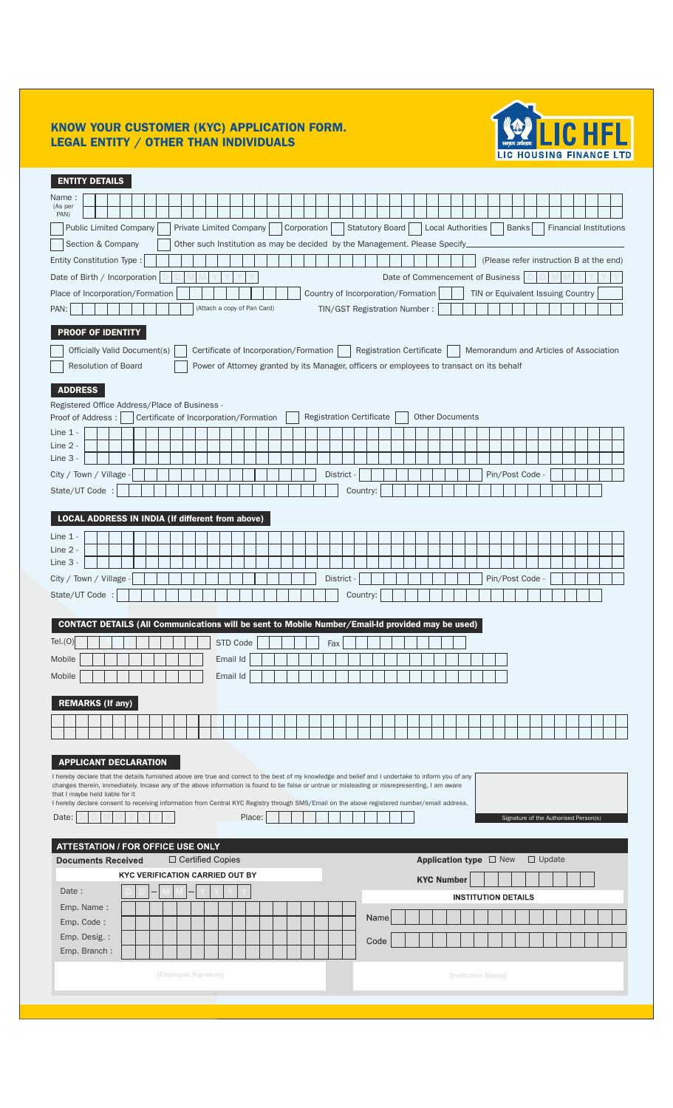#### KNOW YOUR CUSTOMER (KYC) APPLICATION FORM. LEGAL ENTITY / OTHER THAN INDIVIDUALS



| <b>ENTITY DETAILS</b>                                                                                                                                                            |  |  |  |  |  |  |
|----------------------------------------------------------------------------------------------------------------------------------------------------------------------------------|--|--|--|--|--|--|
| Name:                                                                                                                                                                            |  |  |  |  |  |  |
| (As per<br>PAN)                                                                                                                                                                  |  |  |  |  |  |  |
| <b>Public Limited Company</b><br>Private Limited Company<br>Corporation<br><b>Statutory Board</b><br>Local Authorities<br>Banks<br><b>Financial Institutions</b>                 |  |  |  |  |  |  |
| Section & Company<br>Other such Institution as may be decided by the Management. Please Specify.                                                                                 |  |  |  |  |  |  |
| Entity Constitution Type:<br>(Please refer instruction B at the end)                                                                                                             |  |  |  |  |  |  |
| Date of Birth / Incorporation<br>Date of Commencement of Business                                                                                                                |  |  |  |  |  |  |
| Place of Incorporation/Formation<br>Country of Incorporation/Formation<br>TIN or Equivalent Issuing Country                                                                      |  |  |  |  |  |  |
| (Attach a copy of Pan Card)<br>TIN/GST Registration Number:<br>PAN:                                                                                                              |  |  |  |  |  |  |
| <b>PROOF OF IDENTITY</b>                                                                                                                                                         |  |  |  |  |  |  |
| Officially Valid Document(s)<br>Certificate of Incorporation/Formation<br><b>Registration Certificate</b><br>Memorandum and Articles of Association                              |  |  |  |  |  |  |
| <b>Resolution of Board</b><br>Power of Attorney granted by its Manager, officers or employees to transact on its behalf                                                          |  |  |  |  |  |  |
| <b>ADDRESS</b>                                                                                                                                                                   |  |  |  |  |  |  |
| Registered Office Address/Place of Business -                                                                                                                                    |  |  |  |  |  |  |
| <b>Registration Certificate</b><br><b>Other Documents</b><br>Proof of Address:<br>Certificate of Incorporation/Formation                                                         |  |  |  |  |  |  |
| Line $1 -$                                                                                                                                                                       |  |  |  |  |  |  |
| Line $2 -$<br>Line 3                                                                                                                                                             |  |  |  |  |  |  |
| City / Town / Village<br>Pin/Post Code<br><b>District</b>                                                                                                                        |  |  |  |  |  |  |
| State/UT Code :<br>Country:                                                                                                                                                      |  |  |  |  |  |  |
|                                                                                                                                                                                  |  |  |  |  |  |  |
| LOCAL ADDRESS IN INDIA (If different from above)                                                                                                                                 |  |  |  |  |  |  |
| Line $1 -$                                                                                                                                                                       |  |  |  |  |  |  |
| Line 2 -                                                                                                                                                                         |  |  |  |  |  |  |
| Line 3 -                                                                                                                                                                         |  |  |  |  |  |  |
| City / Town / Village<br>Pin/Post Code -<br>District -                                                                                                                           |  |  |  |  |  |  |
| State/UT Code :<br>Country:                                                                                                                                                      |  |  |  |  |  |  |
| CONTACT DETAILS (All Communications will be sent to Mobile Number/Email-Id provided may be used)                                                                                 |  |  |  |  |  |  |
| Tel.(0)<br>STD Code<br>Fax                                                                                                                                                       |  |  |  |  |  |  |
| Mobile<br>Email Id                                                                                                                                                               |  |  |  |  |  |  |
| Email Id<br>Mobile                                                                                                                                                               |  |  |  |  |  |  |
|                                                                                                                                                                                  |  |  |  |  |  |  |
| <b>REMARKS (If any)</b>                                                                                                                                                          |  |  |  |  |  |  |
|                                                                                                                                                                                  |  |  |  |  |  |  |
|                                                                                                                                                                                  |  |  |  |  |  |  |
| <b>APPLICANT DECLARATION</b>                                                                                                                                                     |  |  |  |  |  |  |
| I hereby declare that the details furnished above are true and correct to the best of my knowledge and belief and I undertake to inform you of any                               |  |  |  |  |  |  |
| changes therein, immediately. Incase any of the above information is found to be false or untrue or misleading or misrepresenting, I am aware<br>that I maybe held liable for it |  |  |  |  |  |  |
| I hereby declare consent to receiving information from Central KYC Registry through SMS/Email on the above registered number/email address.                                      |  |  |  |  |  |  |
| Place:<br>Date:<br>Signature of the Authorised Person(s)                                                                                                                         |  |  |  |  |  |  |
| <b>ATTESTATION / FOR OFFICE USE ONLY</b>                                                                                                                                         |  |  |  |  |  |  |
| □ Certified Copies<br>Application type $\Box$ New<br>$\Box$ Update<br><b>Documents Received</b>                                                                                  |  |  |  |  |  |  |
| <b>KYC VERIFICATION CARRIED OUT BY</b><br><b>KYC Number</b>                                                                                                                      |  |  |  |  |  |  |
| Date:<br><b>INSTITUTION DETAILS</b>                                                                                                                                              |  |  |  |  |  |  |
| Emp. Name:                                                                                                                                                                       |  |  |  |  |  |  |
| Name<br>Emp. Code:                                                                                                                                                               |  |  |  |  |  |  |
| Emp. Desig. :<br>Code                                                                                                                                                            |  |  |  |  |  |  |
| Emp. Branch:                                                                                                                                                                     |  |  |  |  |  |  |
| [Employee Signature]<br>[Institution Stamp]                                                                                                                                      |  |  |  |  |  |  |